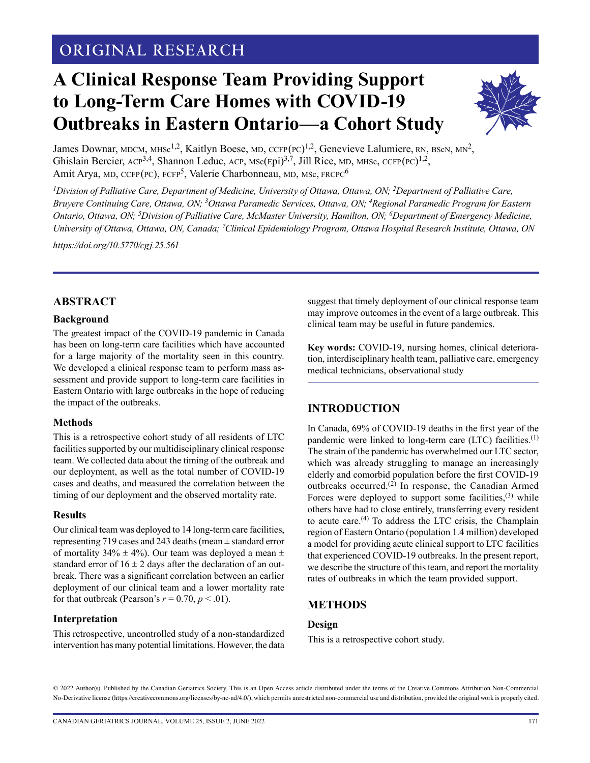# **ORIGINAL RESEARCH**

# **A Clinical Response Team Providing Support to Long-Term Care Homes with COVID-19 Outbreaks in Eastern Ontario—a Cohort Study**



James Downar, MDCM, MHSc<sup>1,2</sup>, Kaitlyn Boese, MD, CCFP(PC)<sup>1,2</sup>, Genevieve Lalumiere, RN, BScN, MN<sup>2</sup>, Ghislain Bercier,  $ACP^{3,4}$ , Shannon Leduc,  $ACP$ ,  $MSc(Epi)^{3,7}$ , Jill Rice, MD, MHSc,  $CCFP(PC)^{1,2}$ , Amit Arya, MD, CCFP(PC), FCFP<sup>5</sup>, Valerie Charbonneau, MD, MSc, FRCPC<sup>6</sup>

<sup>1</sup>Division of Palliative Care, Department of Medicine, University of Ottawa, Ottawa, ON; <sup>2</sup>Department of Palliative Care, *Bruyere Continuing Care, Ottawa, ON; 3Ottawa Paramedic Services, Ottawa, ON; 4Regional Paramedic Program for Eastern Ontario, Ottawa, ON; 5 Division of Palliative Care, McMaster University, Hamilton, ON; 6Department of Emergency Medicine, University of Ottawa, Ottawa, ON, Canada; 7 Clinical Epidemiology Program, Ottawa Hospital Research Institute, Ottawa, ON*

*<https://doi.org/10.5770/cgj.25.561>*

#### **ABSTRACT**

#### **Background**

The greatest impact of the COVID-19 pandemic in Canada has been on long-term care facilities which have accounted for a large majority of the mortality seen in this country. We developed a clinical response team to perform mass assessment and provide support to long-term care facilities in Eastern Ontario with large outbreaks in the hope of reducing the impact of the outbreaks.

#### **Methods**

This is a retrospective cohort study of all residents of LTC facilities supported by our multidisciplinary clinical response team. We collected data about the timing of the outbreak and our deployment, as well as the total number of COVID-19 cases and deaths, and measured the correlation between the timing of our deployment and the observed mortality rate.

#### **Results**

Our clinical team was deployed to 14 long-term care facilities, representing 719 cases and 243 deaths (mean ± standard error of mortality  $34\% \pm 4\%$ ). Our team was deployed a mean  $\pm$ standard error of  $16 \pm 2$  days after the declaration of an outbreak. There was a significant correlation between an earlier deployment of our clinical team and a lower mortality rate for that outbreak (Pearson's  $r = 0.70$ ,  $p < .01$ ).

#### **Interpretation**

This retrospective, uncontrolled study of a non-standardized intervention has many potential limitations. However, the data suggest that timely deployment of our clinical response team may improve outcomes in the event of a large outbreak. This clinical team may be useful in future pandemics.

**Key words:** COVID-19, nursing homes, clinical deterioration, interdisciplinary health team, palliative care, emergency medical technicians, observational study

#### **INTRODUCTION**

In Canada, 69% of COVID-19 deaths in the first year of the pandemic were linked to long-term care (LTC) facilities.(1) The strain of the pandemic has overwhelmed our LTC sector, which was already struggling to manage an increasingly elderly and comorbid population before the first COVID-19 outbreaks occurred.(2) In response, the Canadian Armed Forces were deployed to support some facilities, $(3)$  while others have had to close entirely, transferring every resident to acute care.(4) To address the LTC crisis, the Champlain region of Eastern Ontario (population 1.4 million) developed a model for providing acute clinical support to LTC facilities that experienced COVID-19 outbreaks. In the present report, we describe the structure of this team, and report the mortality rates of outbreaks in which the team provided support.

#### **METHODS**

#### **Design**

This is a retrospective cohort study.

© 2022 Author(s). Published by the Canadian Geriatrics Society. This is an Open Access article distributed under the terms of the Creative Commons Attribution Non-Commercial No-Derivative license (https://creativecommons.org/licenses/by-nc-nd/4.0/), which permits unrestricted non-commercial use and distribution, provided the original work is properly cited.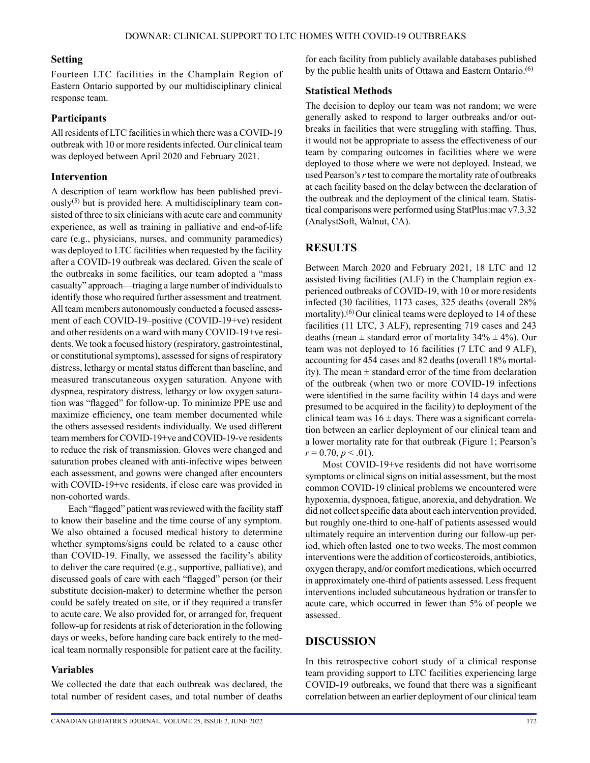#### **Setting**

Fourteen LTC facilities in the Champlain Region of Eastern Ontario supported by our multidisciplinary clinical response team.

## **Participants**

All residents of LTC facilities in which there was a COVID-19 outbreak with 10 or more residents infected. Our clinical team was deployed between April 2020 and February 2021.

## **Intervention**

A description of team workflow has been published previ- $\text{ously}^{(5)}$  but is provided here. A multidisciplinary team consisted of three to six clinicians with acute care and community experience, as well as training in palliative and end-of-life care (e.g., physicians, nurses, and community paramedics) was deployed to LTC facilities when requested by the facility after a COVID-19 outbreak was declared. Given the scale of the outbreaks in some facilities, our team adopted a "mass casualty" approach—triaging a large number of individuals to identify those who required further assessment and treatment. All team members autonomously conducted a focused assessment of each COVID-19–positive (COVID-19+ve) resident and other residents on a ward with many COVID-19+ve residents. We took a focused history (respiratory, gastrointestinal, or constitutional symptoms), assessed for signs of respiratory distress, lethargy or mental status different than baseline, and measured transcutaneous oxygen saturation. Anyone with dyspnea, respiratory distress, lethargy or low oxygen saturation was "flagged" for follow-up. To minimize PPE use and maximize efficiency, one team member documented while the others assessed residents individually. We used different team members for COVID-19+ve and COVID-19-ve residents to reduce the risk of transmission. Gloves were changed and saturation probes cleaned with anti-infective wipes between each assessment, and gowns were changed after encounters with COVID-19+ve residents, if close care was provided in non-cohorted wards.

Each "flagged" patient was reviewed with the facility staff to know their baseline and the time course of any symptom. We also obtained a focused medical history to determine whether symptoms/signs could be related to a cause other than COVID-19. Finally, we assessed the facility's ability to deliver the care required (e.g., supportive, palliative), and discussed goals of care with each "flagged" person (or their substitute decision-maker) to determine whether the person could be safely treated on site, or if they required a transfer to acute care. We also provided for, or arranged for, frequent follow-up for residents at risk of deterioration in the following days or weeks, before handing care back entirely to the medical team normally responsible for patient care at the facility.

#### **Variables**

We collected the date that each outbreak was declared, the total number of resident cases, and total number of deaths for each facility from publicly available databases published by the public health units of Ottawa and Eastern Ontario.<sup>(6)</sup>

#### **Statistical Methods**

The decision to deploy our team was not random; we were generally asked to respond to larger outbreaks and/or outbreaks in facilities that were struggling with staffing. Thus, it would not be appropriate to assess the effectiveness of our team by comparing outcomes in facilities where we were deployed to those where we were not deployed. Instead, we used Pearson's *r* test to compare the mortality rate of outbreaks at each facility based on the delay between the declaration of the outbreak and the deployment of the clinical team. Statistical comparisons were performed using StatPlus:mac v7.3.32 (AnalystSoft, Walnut, CA).

# **RESULTS**

Between March 2020 and February 2021, 18 LTC and 12 assisted living facilities (ALF) in the Champlain region experienced outbreaks of COVID-19, with 10 or more residents infected (30 facilities, 1173 cases, 325 deaths (overall 28% mortality).<sup>(6)</sup> Our clinical teams were deployed to 14 of these facilities (11 LTC, 3 ALF), representing 719 cases and 243 deaths (mean  $\pm$  standard error of mortality 34%  $\pm$  4%). Our team was not deployed to 16 facilities (7 LTC and 9 ALF), accounting for 454 cases and 82 deaths (overall 18% mortality). The mean  $\pm$  standard error of the time from declaration of the outbreak (when two or more COVID-19 infections were identified in the same facility within 14 days and were presumed to be acquired in the facility) to deployment of the clinical team was  $16 \pm \text{days}$ . There was a significant correlation between an earlier deployment of our clinical team and a lower mortality rate for that outbreak (Figure 1; Pearson's  $r = 0.70, p \le 0.01$ .

Most COVID-19+ve residents did not have worrisome symptoms or clinical signs on initial assessment, but the most common COVID-19 clinical problems we encountered were hypoxemia, dyspnoea, fatigue, anorexia, and dehydration. We did not collect specific data about each intervention provided, but roughly one-third to one-half of patients assessed would ultimately require an intervention during our follow-up period, which often lasted one to two weeks. The most common interventions were the addition of corticosteroids, antibiotics, oxygen therapy, and/or comfort medications, which occurred in approximately one-third of patients assessed. Less frequent interventions included subcutaneous hydration or transfer to acute care, which occurred in fewer than 5% of people we assessed.

# **DISCUSSION**

In this retrospective cohort study of a clinical response team providing support to LTC facilities experiencing large COVID-19 outbreaks, we found that there was a significant correlation between an earlier deployment of our clinical team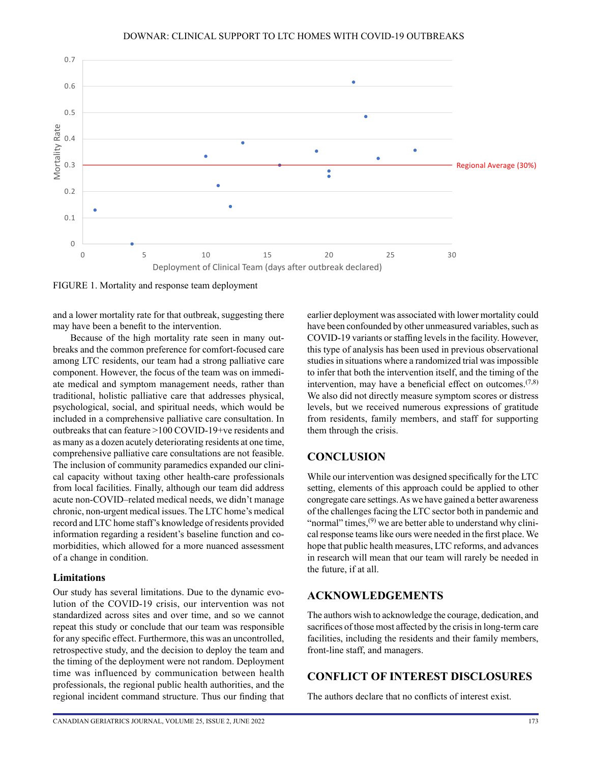# DOWNAR: CLINICAL SUPPORT TO LTC HOMES WITH COVID-19 OUTBREAKS *Mortality and Response Team Deployment*



FIGURE 1. Mortality and response team deployment

and a lower mortality rate for that outbreak, suggesting there may have been a benefit to the intervention.

Because of the high mortality rate seen in many outbreaks and the common preference for comfort-focused care among LTC residents, our team had a strong palliative care component. However, the focus of the team was on immediate medical and symptom management needs, rather than traditional, holistic palliative care that addresses physical, psychological, social, and spiritual needs, which would be included in a comprehensive palliative care consultation. In outbreaks that can feature >100 COVID-19+ve residents and as many as a dozen acutely deteriorating residents at one time, comprehensive palliative care consultations are not feasible. The inclusion of community paramedics expanded our clinical capacity without taxing other health-care professionals from local facilities. Finally, although our team did address acute non-COVID–related medical needs, we didn't manage chronic, non-urgent medical issues. The LTC home's medical record and LTC home staff's knowledge of residents provided information regarding a resident's baseline function and comorbidities, which allowed for a more nuanced assessment of a change in condition.

#### **Limitations**

Our study has several limitations. Due to the dynamic evolution of the COVID-19 crisis, our intervention was not standardized across sites and over time, and so we cannot repeat this study or conclude that our team was responsible for any specific effect. Furthermore, this was an uncontrolled, retrospective study, and the decision to deploy the team and the timing of the deployment were not random. Deployment time was influenced by communication between health professionals, the regional public health authorities, and the regional incident command structure. Thus our finding that earlier deployment was associated with lower mortality could have been confounded by other unmeasured variables, such as COVID-19 variants or staffing levels in the facility. However, this type of analysis has been used in previous observational studies in situations where a randomized trial was impossible to infer that both the intervention itself, and the timing of the intervention, may have a beneficial effect on outcomes.  $(7,8)$ We also did not directly measure symptom scores or distress levels, but we received numerous expressions of gratitude from residents, family members, and staff for supporting them through the crisis.

#### **CONCLUSION**

While our intervention was designed specifically for the LTC setting, elements of this approach could be applied to other congregate care settings. As we have gained a better awareness of the challenges facing the LTC sector both in pandemic and "normal" times,  $(9)$  we are better able to understand why clinical response teams like ours were needed in the first place. We hope that public health measures, LTC reforms, and advances in research will mean that our team will rarely be needed in the future, if at all.

#### **ACKNOWLEDGEMENTS**

The authors wish to acknowledge the courage, dedication, and sacrifices of those most affected by the crisis in long-term care facilities, including the residents and their family members, front-line staff, and managers.

# **CONFLICT OF INTEREST DISCLOSURES**

The authors declare that no conflicts of interest exist.